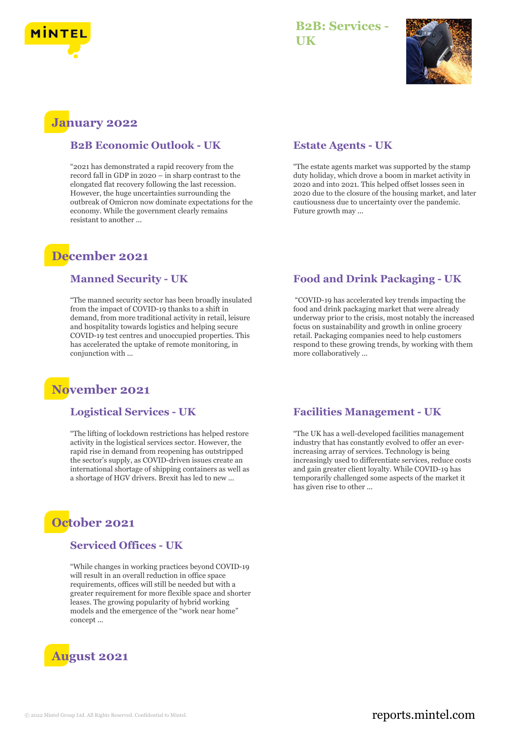

## **B2B: Services - UK**



# **January 2022**

#### **B2B Economic Outlook - UK**

"2021 has demonstrated a rapid recovery from the record fall in GDP in 2020 – in sharp contrast to the elongated flat recovery following the last recession. However, the huge uncertainties surrounding the outbreak of Omicron now dominate expectations for the economy. While the government clearly remains resistant to another ...

## **December 2021**

#### **Manned Security - UK**

"The manned security sector has been broadly insulated from the impact of COVID-19 thanks to a shift in demand, from more traditional activity in retail, leisure and hospitality towards logistics and helping secure COVID-19 test centres and unoccupied properties. This has accelerated the uptake of remote monitoring, in conjunction with ...

# **November 2021**

#### **Logistical Services - UK**

"The lifting of lockdown restrictions has helped restore activity in the logistical services sector. However, the rapid rise in demand from reopening has outstripped the sector's supply, as COVID-driven issues create an international shortage of shipping containers as well as a shortage of HGV drivers. Brexit has led to new ...



#### **Serviced Offices - UK**

"While changes in working practices beyond COVID-19 will result in an overall reduction in office space requirements, offices will still be needed but with a greater requirement for more flexible space and shorter leases. The growing popularity of hybrid working models and the emergence of the "work near home" concept ...



#### **Estate Agents - UK**

"The estate agents market was supported by the stamp duty holiday, which drove a boom in market activity in 2020 and into 2021. This helped offset losses seen in 2020 due to the closure of the housing market, and later cautiousness due to uncertainty over the pandemic. Future growth may ...

#### **Food and Drink Packaging - UK**

"COVID-19 has accelerated key trends impacting the food and drink packaging market that were already underway prior to the crisis, most notably the increased focus on sustainability and growth in online grocery retail. Packaging companies need to help customers respond to these growing trends, by working with them more collaboratively ...

#### **Facilities Management - UK**

"The UK has a well-developed facilities management industry that has constantly evolved to offer an everincreasing array of services. Technology is being increasingly used to differentiate services, reduce costs and gain greater client loyalty. While COVID-19 has temporarily challenged some aspects of the market it has given rise to other ...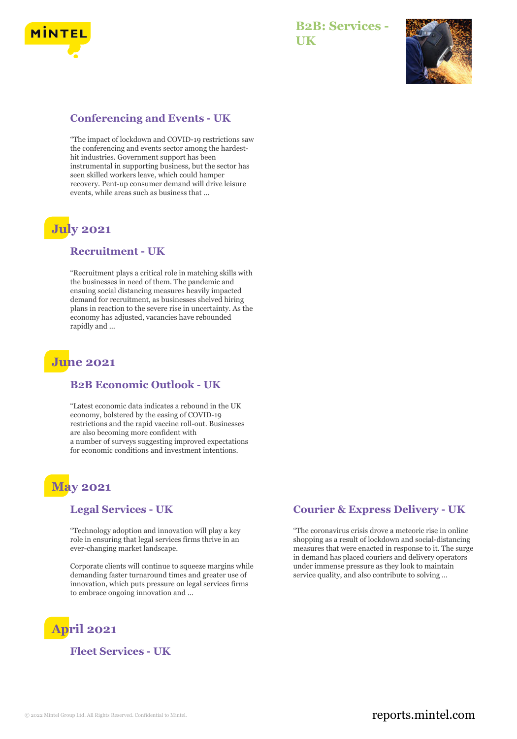

### **B2B: Services - UK**



#### **Conferencing and Events - UK**

"The impact of lockdown and COVID-19 restrictions saw the conferencing and events sector among the hardesthit industries. Government support has been instrumental in supporting business, but the sector has seen skilled workers leave, which could hamper recovery. Pent-up consumer demand will drive leisure events, while areas such as business that ...

# **July 2021**

#### **Recruitment - UK**

"Recruitment plays a critical role in matching skills with the businesses in need of them. The pandemic and ensuing social distancing measures heavily impacted demand for recruitment, as businesses shelved hiring plans in reaction to the severe rise in uncertainty. As the economy has adjusted, vacancies have rebounded rapidly and ...

## **June 2021**

#### **B2B Economic Outlook - UK**

"Latest economic data indicates a rebound in the UK economy, bolstered by the easing of COVID-19 restrictions and the rapid vaccine roll-out. Businesses are also becoming more confident with a number of surveys suggesting improved expectations for economic conditions and investment intentions.

# **May 2021**

#### **Legal Services - UK**

"Technology adoption and innovation will play a key role in ensuring that legal services firms thrive in an ever-changing market landscape.

Corporate clients will continue to squeeze margins while demanding faster turnaround times and greater use of innovation, which puts pressure on legal services firms to embrace ongoing innovation and ...

# **April 2021**

#### **Fleet Services - UK**

#### **Courier & Express Delivery - UK**

"The coronavirus crisis drove a meteoric rise in online shopping as a result of lockdown and social-distancing measures that were enacted in response to it. The surge in demand has placed couriers and delivery operators under immense pressure as they look to maintain service quality, and also contribute to solving ...

### © 2022 Mintel Group Ltd. All Rights Reserved. Confidential to Mintel.  $\blacksquare$  reports.mintel.com